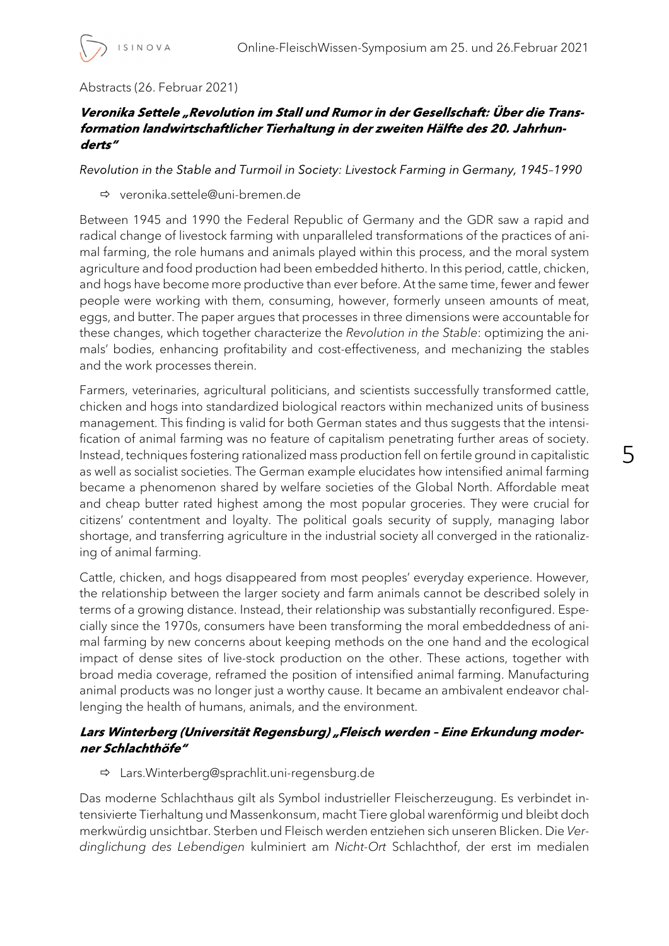## Abstracts (26. Februar 2021)

### Veronika Settele "Revolution im Stall und Rumor in der Gesellschaft: Über die Transformation landwirtschaftlicher Tierhaltung in der zweiten Hälfte des 20. Jahrhunderts"

Revolution in the Stable and Turmoil in Society: Livestock Farming in Germany, 1945-1990

veronika.settele@uni-bremen.de

Between 1945 and 1990 the Federal Republic of Germany and the GDR saw a rapid and radical change of livestock farming with unparalleled transformations of the practices of animal farming, the role humans and animals played within this process, and the moral system agriculture and food production had been embedded hitherto. In this period, cattle, chicken, and hogs have become more productive than ever before. At the same time, fewer and fewer people were working with them, consuming, however, formerly unseen amounts of meat, eggs, and butter. The paper argues that processes in three dimensions were accountable for these changes, which together characterize the Revolution in the Stable: optimizing the animals' bodies, enhancing profitability and cost-effectiveness, and mechanizing the stables and the work processes therein.

Farmers, veterinaries, agricultural politicians, and scientists successfully transformed cattle, chicken and hogs into standardized biological reactors within mechanized units of business management. This finding is valid for both German states and thus suggests that the intensification of animal farming was no feature of capitalism penetrating further areas of society. Instead, techniques fostering rationalized mass production fell on fertile ground in capitalistic as well as socialist societies. The German example elucidates how intensified animal farming became a phenomenon shared by welfare societies of the Global North. Affordable meat and cheap butter rated highest among the most popular groceries. They were crucial for citizens' contentment and loyalty. The political goals security of supply, managing labor shortage, and transferring agriculture in the industrial society all converged in the rationalizing of animal farming.

Cattle, chicken, and hogs disappeared from most peoples' everyday experience. However, the relationship between the larger society and farm animals cannot be described solely in terms of a growing distance. Instead, their relationship was substantially reconfigured. Especially since the 1970s, consumers have been transforming the moral embeddedness of animal farming by new concerns about keeping methods on the one hand and the ecological impact of dense sites of live-stock production on the other. These actions, together with broad media coverage, reframed the position of intensified animal farming. Manufacturing animal products was no longer just a worthy cause. It became an ambivalent endeavor challenging the health of humans, animals, and the environment.

# Lars Winterberg (Universität Regensburg) "Fleisch werden - Eine Erkundung moderner Schlachthöfe"

Lars.Winterberg@sprachlit.uni-regensburg.de

Das moderne Schlachthaus gilt als Symbol industrieller Fleischerzeugung. Es verbindet intensivierte Tierhaltung und Massenkonsum, macht Tiere global warenförmig und bleibt doch merkwürdig unsichtbar. Sterben und Fleisch werden entziehen sich unseren Blicken. Die Verdinglichung des Lebendigen kulminiert am Nicht-Ort Schlachthof, der erst im medialen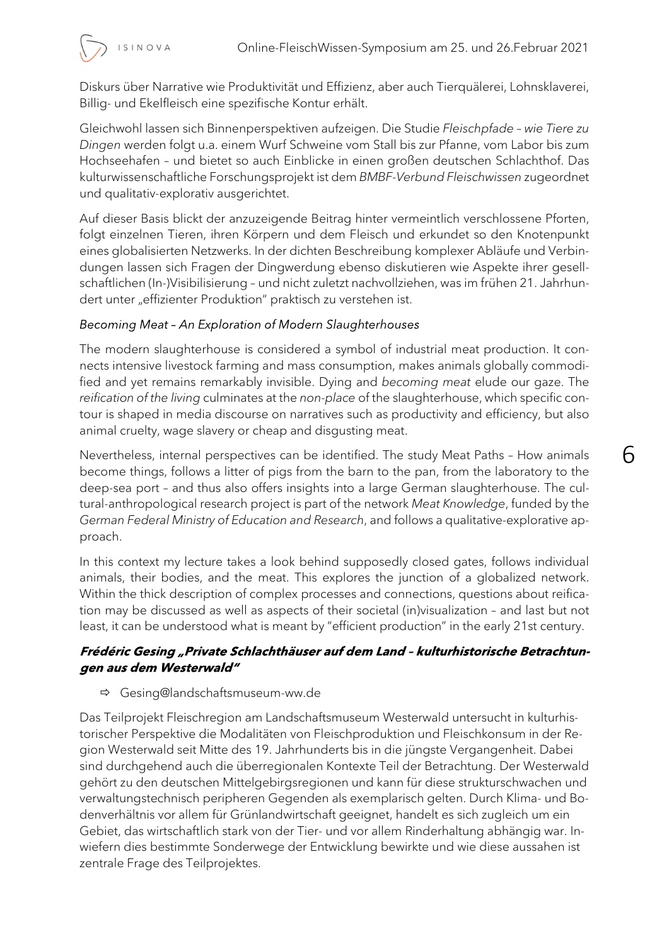6



ISINOVA

Diskurs über Narrative wie Produktivität und Effizienz, aber auch Tierquälerei, Lohnsklaverei, Billig- und Ekelfleisch eine spezifische Kontur erhält.

Gleichwohl lassen sich Binnenperspektiven aufzeigen. Die Studie Fleischpfade – wie Tiere zu Dingen werden folgt u.a. einem Wurf Schweine vom Stall bis zur Pfanne, vom Labor bis zum Hochseehafen – und bietet so auch Einblicke in einen großen deutschen Schlachthof. Das kulturwissenschaftliche Forschungsprojekt ist dem BMBF-Verbund Fleischwissen zugeordnet und qualitativ-explorativ ausgerichtet.

Auf dieser Basis blickt der anzuzeigende Beitrag hinter vermeintlich verschlossene Pforten, folgt einzelnen Tieren, ihren Körpern und dem Fleisch und erkundet so den Knotenpunkt eines globalisierten Netzwerks. In der dichten Beschreibung komplexer Abläufe und Verbindungen lassen sich Fragen der Dingwerdung ebenso diskutieren wie Aspekte ihrer gesellschaftlichen (In-)Visibilisierung – und nicht zuletzt nachvollziehen, was im frühen 21. Jahrhundert unter "effizienter Produktion" praktisch zu verstehen ist.

## Becoming Meat - An Exploration of Modern Slaughterhouses

The modern slaughterhouse is considered a symbol of industrial meat production. It connects intensive livestock farming and mass consumption, makes animals globally commodified and yet remains remarkably invisible. Dying and becoming meat elude our gaze. The reification of the living culminates at the non-place of the slaughterhouse, which specific contour is shaped in media discourse on narratives such as productivity and efficiency, but also animal cruelty, wage slavery or cheap and disgusting meat.

Nevertheless, internal perspectives can be identified. The study Meat Paths – How animals become things, follows a litter of pigs from the barn to the pan, from the laboratory to the deep-sea port – and thus also offers insights into a large German slaughterhouse. The cultural-anthropological research project is part of the network Meat Knowledge, funded by the German Federal Ministry of Education and Research, and follows a qualitative-explorative approach.

In this context my lecture takes a look behind supposedly closed gates, follows individual animals, their bodies, and the meat. This explores the junction of a globalized network. Within the thick description of complex processes and connections, questions about reification may be discussed as well as aspects of their societal (in)visualization – and last but not least, it can be understood what is meant by "efficient production" in the early 21st century.

## Frédéric Gesing "Private Schlachthäuser auf dem Land - kulturhistorische Betrachtungen aus dem Westerwald"

### Gesing@landschaftsmuseum-ww.de

Das Teilprojekt Fleischregion am Landschaftsmuseum Westerwald untersucht in kulturhistorischer Perspektive die Modalitäten von Fleischproduktion und Fleischkonsum in der Region Westerwald seit Mitte des 19. Jahrhunderts bis in die jüngste Vergangenheit. Dabei sind durchgehend auch die überregionalen Kontexte Teil der Betrachtung. Der Westerwald gehört zu den deutschen Mittelgebirgsregionen und kann für diese strukturschwachen und verwaltungstechnisch peripheren Gegenden als exemplarisch gelten. Durch Klima- und Bodenverhältnis vor allem für Grünlandwirtschaft geeignet, handelt es sich zugleich um ein Gebiet, das wirtschaftlich stark von der Tier- und vor allem Rinderhaltung abhängig war. Inwiefern dies bestimmte Sonderwege der Entwicklung bewirkte und wie diese aussahen ist zentrale Frage des Teilprojektes.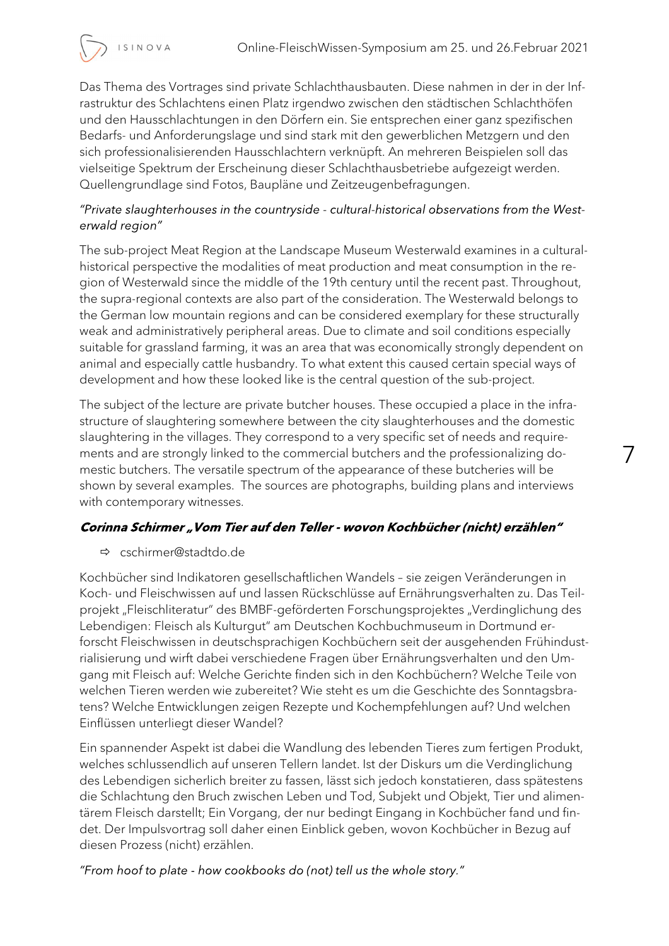

7

Das Thema des Vortrages sind private Schlachthausbauten. Diese nahmen in der in der Infrastruktur des Schlachtens einen Platz irgendwo zwischen den städtischen Schlachthöfen und den Hausschlachtungen in den Dörfern ein. Sie entsprechen einer ganz spezifischen Bedarfs- und Anforderungslage und sind stark mit den gewerblichen Metzgern und den sich professionalisierenden Hausschlachtern verknüpft. An mehreren Beispielen soll das vielseitige Spektrum der Erscheinung dieser Schlachthausbetriebe aufgezeigt werden. Quellengrundlage sind Fotos, Baupläne und Zeitzeugenbefragungen.

### "Private slaughterhouses in the countryside - cultural-historical observations from the Westerwald region"

The sub-project Meat Region at the Landscape Museum Westerwald examines in a culturalhistorical perspective the modalities of meat production and meat consumption in the region of Westerwald since the middle of the 19th century until the recent past. Throughout, the supra-regional contexts are also part of the consideration. The Westerwald belongs to the German low mountain regions and can be considered exemplary for these structurally weak and administratively peripheral areas. Due to climate and soil conditions especially suitable for grassland farming, it was an area that was economically strongly dependent on animal and especially cattle husbandry. To what extent this caused certain special ways of development and how these looked like is the central question of the sub-project.

The subject of the lecture are private butcher houses. These occupied a place in the infrastructure of slaughtering somewhere between the city slaughterhouses and the domestic slaughtering in the villages. They correspond to a very specific set of needs and requirements and are strongly linked to the commercial butchers and the professionalizing domestic butchers. The versatile spectrum of the appearance of these butcheries will be shown by several examples. The sources are photographs, building plans and interviews with contemporary witnesses.

### Corinna Schirmer "Vom Tier auf den Teller - wovon Kochbücher (nicht) erzählen"

### cschirmer@stadtdo.de

Kochbücher sind Indikatoren gesellschaftlichen Wandels – sie zeigen Veränderungen in Koch- und Fleischwissen auf und lassen Rückschlüsse auf Ernährungsverhalten zu. Das Teilprojekt "Fleischliteratur" des BMBF-geförderten Forschungsprojektes "Verdinglichung des Lebendigen: Fleisch als Kulturgut" am Deutschen Kochbuchmuseum in Dortmund erforscht Fleischwissen in deutschsprachigen Kochbüchern seit der ausgehenden Frühindustrialisierung und wirft dabei verschiedene Fragen über Ernährungsverhalten und den Umgang mit Fleisch auf: Welche Gerichte finden sich in den Kochbüchern? Welche Teile von welchen Tieren werden wie zubereitet? Wie steht es um die Geschichte des Sonntagsbratens? Welche Entwicklungen zeigen Rezepte und Kochempfehlungen auf? Und welchen Einflüssen unterliegt dieser Wandel?

Ein spannender Aspekt ist dabei die Wandlung des lebenden Tieres zum fertigen Produkt, welches schlussendlich auf unseren Tellern landet. Ist der Diskurs um die Verdinglichung des Lebendigen sicherlich breiter zu fassen, lässt sich jedoch konstatieren, dass spätestens die Schlachtung den Bruch zwischen Leben und Tod, Subjekt und Objekt, Tier und alimentärem Fleisch darstellt; Ein Vorgang, der nur bedingt Eingang in Kochbücher fand und findet. Der Impulsvortrag soll daher einen Einblick geben, wovon Kochbücher in Bezug auf diesen Prozess (nicht) erzählen.

"From hoof to plate - how cookbooks do (not) tell us the whole story."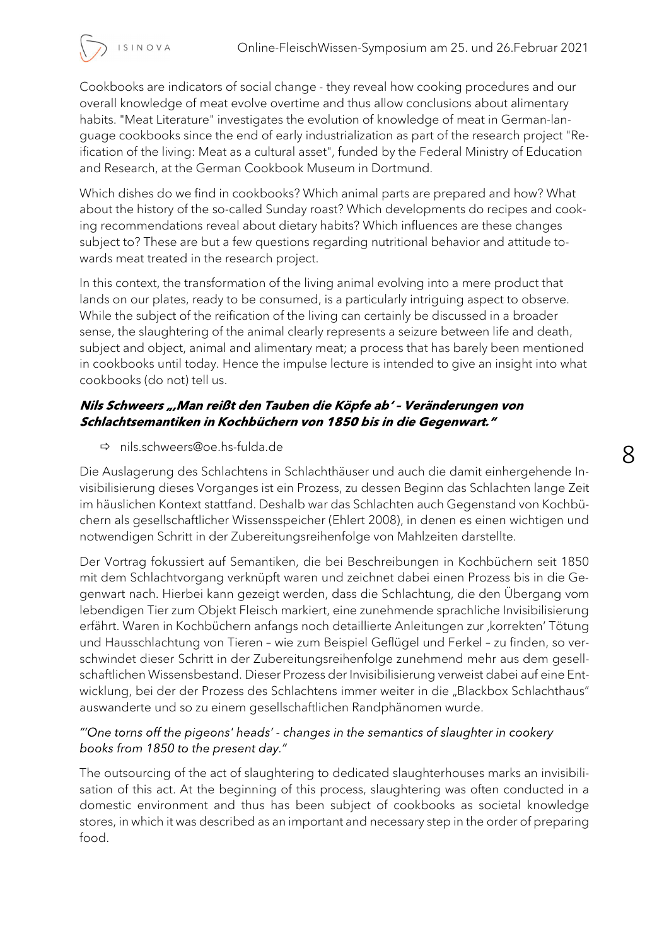8

Cookbooks are indicators of social change - they reveal how cooking procedures and our overall knowledge of meat evolve overtime and thus allow conclusions about alimentary habits. "Meat Literature" investigates the evolution of knowledge of meat in German-language cookbooks since the end of early industrialization as part of the research project "Reification of the living: Meat as a cultural asset", funded by the Federal Ministry of Education and Research, at the German Cookbook Museum in Dortmund.

Which dishes do we find in cookbooks? Which animal parts are prepared and how? What about the history of the so-called Sunday roast? Which developments do recipes and cooking recommendations reveal about dietary habits? Which influences are these changes subject to? These are but a few questions regarding nutritional behavior and attitude towards meat treated in the research project.

In this context, the transformation of the living animal evolving into a mere product that lands on our plates, ready to be consumed, is a particularly intriguing aspect to observe. While the subject of the reification of the living can certainly be discussed in a broader sense, the slaughtering of the animal clearly represents a seizure between life and death, subject and object, animal and alimentary meat; a process that has barely been mentioned in cookbooks until today. Hence the impulse lecture is intended to give an insight into what cookbooks (do not) tell us.

## Nils Schweers ", Man reißt den Tauben die Köpfe ab' - Veränderungen von Schlachtsemantiken in Kochbüchern von 1850 bis in die Gegenwart."

nils.schweers@oe.hs-fulda.de

ISINOVA

Die Auslagerung des Schlachtens in Schlachthäuser und auch die damit einhergehende Invisibilisierung dieses Vorganges ist ein Prozess, zu dessen Beginn das Schlachten lange Zeit im häuslichen Kontext stattfand. Deshalb war das Schlachten auch Gegenstand von Kochbüchern als gesellschaftlicher Wissensspeicher (Ehlert 2008), in denen es einen wichtigen und notwendigen Schritt in der Zubereitungsreihenfolge von Mahlzeiten darstellte.

Der Vortrag fokussiert auf Semantiken, die bei Beschreibungen in Kochbüchern seit 1850 mit dem Schlachtvorgang verknüpft waren und zeichnet dabei einen Prozess bis in die Gegenwart nach. Hierbei kann gezeigt werden, dass die Schlachtung, die den Übergang vom lebendigen Tier zum Objekt Fleisch markiert, eine zunehmende sprachliche Invisibilisierung erfährt. Waren in Kochbüchern anfangs noch detaillierte Anleitungen zur 'korrekten' Tötung und Hausschlachtung von Tieren – wie zum Beispiel Geflügel und Ferkel – zu finden, so verschwindet dieser Schritt in der Zubereitungsreihenfolge zunehmend mehr aus dem gesellschaftlichen Wissensbestand. Dieser Prozess der Invisibilisierung verweist dabei auf eine Entwicklung, bei der der Prozess des Schlachtens immer weiter in die "Blackbox Schlachthaus" auswanderte und so zu einem gesellschaftlichen Randphänomen wurde.

## "One torns off the pigeons' heads' - changes in the semantics of slaughter in cookery books from 1850 to the present day."

The outsourcing of the act of slaughtering to dedicated slaughterhouses marks an invisibilisation of this act. At the beginning of this process, slaughtering was often conducted in a domestic environment and thus has been subject of cookbooks as societal knowledge stores, in which it was described as an important and necessary step in the order of preparing food.